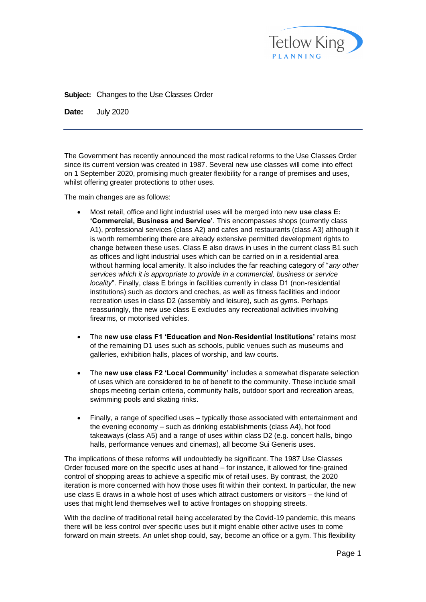

**Subject:** Changes to the Use Classes Order

**Date:** July 2020

The Government has recently announced the most radical reforms to the Use Classes Order since its current version was created in 1987. Several new use classes will come into effect on 1 September 2020, promising much greater flexibility for a range of premises and uses, whilst offering greater protections to other uses.

The main changes are as follows:

- Most retail, office and light industrial uses will be merged into new **use class E: 'Commercial, Business and Service'**. This encompasses shops (currently class A1), professional services (class A2) and cafes and restaurants (class A3) although it is worth remembering there are already extensive permitted development rights to change between these uses. Class E also draws in uses in the current class B1 such as offices and light industrial uses which can be carried on in a residential area without harming local amenity. It also includes the far reaching category of "*any other services which it is appropriate to provide in a commercial, business or service locality*". Finally, class E brings in facilities currently in class D1 (non-residential institutions) such as doctors and creches, as well as fitness facilities and indoor recreation uses in class D2 (assembly and leisure), such as gyms. Perhaps reassuringly, the new use class E excludes any recreational activities involving firearms, or motorised vehicles.
- The **new use class F1 'Education and Non-Residential Institutions'** retains most of the remaining D1 uses such as schools, public venues such as museums and galleries, exhibition halls, places of worship, and law courts.
- The **new use class F2 'Local Community'** includes a somewhat disparate selection of uses which are considered to be of benefit to the community. These include small shops meeting certain criteria, community halls, outdoor sport and recreation areas, swimming pools and skating rinks.
- Finally, a range of specified uses typically those associated with entertainment and the evening economy – such as drinking establishments (class A4), hot food takeaways (class A5) and a range of uses within class D2 (e.g. concert halls, bingo halls, performance venues and cinemas), all become Sui Generis uses.

The implications of these reforms will undoubtedly be significant. The 1987 Use Classes Order focused more on the specific uses at hand – for instance, it allowed for fine-grained control of shopping areas to achieve a specific mix of retail uses. By contrast, the 2020 iteration is more concerned with how those uses fit within their context. In particular, the new use class E draws in a whole host of uses which attract customers or visitors – the kind of uses that might lend themselves well to active frontages on shopping streets.

With the decline of traditional retail being accelerated by the Covid-19 pandemic, this means there will be less control over specific uses but it might enable other active uses to come forward on main streets. An unlet shop could, say, become an office or a gym. This flexibility